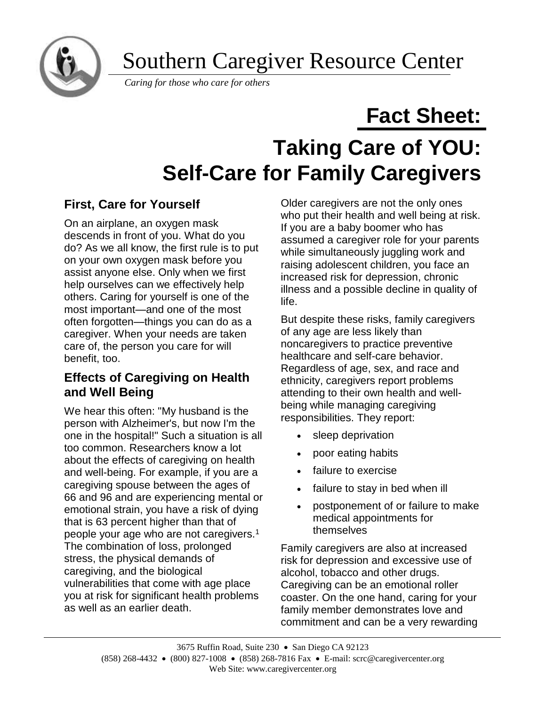í

Southern Caregiver Resource Center

*Caring for those who care for others*

# **Fact Sheet: Taking Care of YOU: Self-Care for Family Caregivers**

# **First, Care for Yourself**

On an airplane, an oxygen mask descends in front of you. What do you do? As we all know, the first rule is to put on your own oxygen mask before you assist anyone else. Only when we first help ourselves can we effectively help others. Caring for yourself is one of the most important—and one of the most often forgotten—things you can do as a caregiver. When your needs are taken care of, the person you care for will benefit, too.

# **Effects of Caregiving on Health and Well Being**

We hear this often: "My husband is the person with Alzheimer's, but now I'm the one in the hospital!" Such a situation is all too common. Researchers know a lot about the effects of caregiving on health and well-being. For example, if you are a caregiving spouse between the ages of 66 and 96 and are experiencing mental or emotional strain, you have a risk of dying that is 63 percent higher than that of people your age who are not caregivers.<sup>1</sup> The combination of loss, prolonged stress, the physical demands of caregiving, and the biological vulnerabilities that come with age place you at risk for significant health problems as well as an earlier death.

Older caregivers are not the only ones who put their health and well being at risk. If you are a baby boomer who has assumed a caregiver role for your parents while simultaneously juggling work and raising adolescent children, you face an increased risk for depression, chronic illness and a possible decline in quality of life.

But despite these risks, family caregivers of any age are less likely than noncaregivers to practice preventive healthcare and self-care behavior. Regardless of age, sex, and race and ethnicity, caregivers report problems attending to their own health and wellbeing while managing caregiving responsibilities. They report:

- sleep deprivation
- poor eating habits
- failure to exercise
- failure to stay in bed when ill
- postponement of or failure to make medical appointments for themselves

Family caregivers are also at increased risk for depression and excessive use of alcohol, tobacco and other drugs. Caregiving can be an emotional roller coaster. On the one hand, caring for your family member demonstrates love and commitment and can be a very rewarding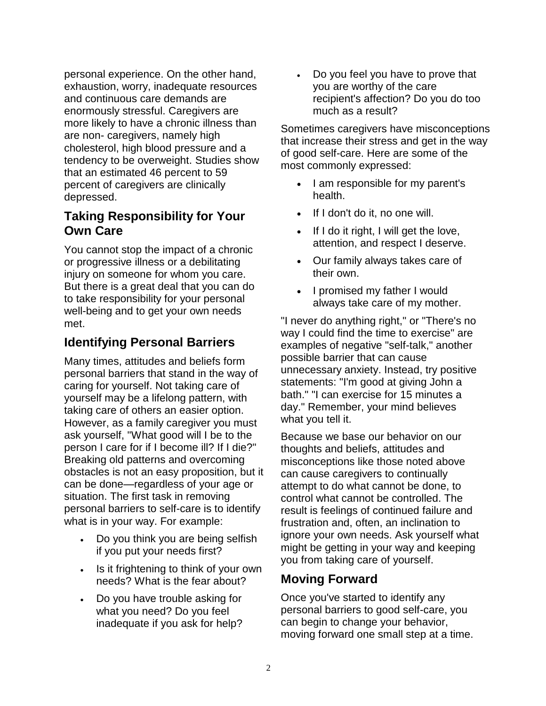personal experience. On the other hand, exhaustion, worry, inadequate resources and continuous care demands are enormously stressful. Caregivers are more likely to have a chronic illness than are non- caregivers, namely high cholesterol, high blood pressure and a tendency to be overweight. Studies show that an estimated 46 percent to 59 percent of caregivers are clinically depressed.

## **Taking Responsibility for Your Own Care**

You cannot stop the impact of a chronic or progressive illness or a debilitating injury on someone for whom you care. But there is a great deal that you can do to take responsibility for your personal well-being and to get your own needs met.

# **Identifying Personal Barriers**

Many times, attitudes and beliefs form personal barriers that stand in the way of caring for yourself. Not taking care of yourself may be a lifelong pattern, with taking care of others an easier option. However, as a family caregiver you must ask yourself, "What good will I be to the person I care for if I become ill? If I die?" Breaking old patterns and overcoming obstacles is not an easy proposition, but it can be done—regardless of your age or situation. The first task in removing personal barriers to self-care is to identify what is in your way. For example:

- Do you think you are being selfish if you put your needs first?
- Is it frightening to think of your own needs? What is the fear about?
- Do you have trouble asking for what you need? Do you feel inadequate if you ask for help?

• Do you feel you have to prove that you are worthy of the care recipient's affection? Do you do too much as a result?

Sometimes caregivers have misconceptions that increase their stress and get in the way of good self-care. Here are some of the most commonly expressed:

- I am responsible for my parent's health.
- If I don't do it, no one will.
- If I do it right, I will get the love, attention, and respect I deserve.
- Our family always takes care of their own.
- I promised my father I would always take care of my mother.

"I never do anything right," or "There's no way I could find the time to exercise" are examples of negative "self-talk," another possible barrier that can cause unnecessary anxiety. Instead, try positive statements: "I'm good at giving John a bath." "I can exercise for 15 minutes a day." Remember, your mind believes what you tell it.

Because we base our behavior on our thoughts and beliefs, attitudes and misconceptions like those noted above can cause caregivers to continually attempt to do what cannot be done, to control what cannot be controlled. The result is feelings of continued failure and frustration and, often, an inclination to ignore your own needs. Ask yourself what might be getting in your way and keeping you from taking care of yourself.

## **Moving Forward**

Once you've started to identify any personal barriers to good self-care, you can begin to change your behavior, moving forward one small step at a time.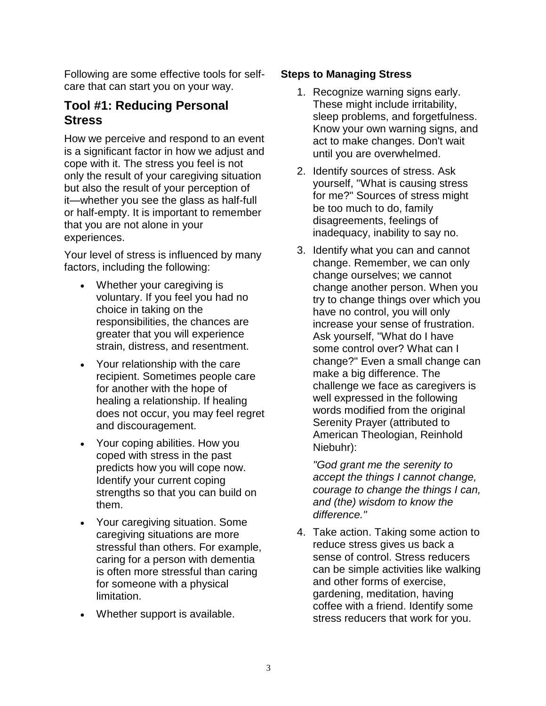Following are some effective tools for selfcare that can start you on your way.

## **Tool #1: Reducing Personal Stress**

How we perceive and respond to an event is a significant factor in how we adjust and cope with it. The stress you feel is not only the result of your caregiving situation but also the result of your perception of it—whether you see the glass as half-full or half-empty. It is important to remember that you are not alone in your experiences.

Your level of stress is influenced by many factors, including the following:

- Whether your caregiving is voluntary. If you feel you had no choice in taking on the responsibilities, the chances are greater that you will experience strain, distress, and resentment.
- Your relationship with the care recipient. Sometimes people care for another with the hope of healing a relationship. If healing does not occur, you may feel regret and discouragement.
- Your coping abilities. How you coped with stress in the past predicts how you will cope now. Identify your current coping strengths so that you can build on them.
- Your caregiving situation. Some caregiving situations are more stressful than others. For example, caring for a person with dementia is often more stressful than caring for someone with a physical limitation.
- Whether support is available.

#### **Steps to Managing Stress**

- 1. Recognize warning signs early. These might include irritability, sleep problems, and forgetfulness. Know your own warning signs, and act to make changes. Don't wait until you are overwhelmed.
- 2. Identify sources of stress. Ask yourself, "What is causing stress for me?" Sources of stress might be too much to do, family disagreements, feelings of inadequacy, inability to say no.
- 3. Identify what you can and cannot change. Remember, we can only change ourselves; we cannot change another person. When you try to change things over which you have no control, you will only increase your sense of frustration. Ask yourself, "What do I have some control over? What can I change?" Even a small change can make a big difference. The challenge we face as caregivers is well expressed in the following words modified from the original Serenity Prayer (attributed to American Theologian, Reinhold Niebuhr):

*"God grant me the serenity to accept the things I cannot change, courage to change the things I can, and (the) wisdom to know the difference."*

4. Take action. Taking some action to reduce stress gives us back a sense of control. Stress reducers can be simple activities like walking and other forms of exercise, gardening, meditation, having coffee with a friend. Identify some stress reducers that work for you.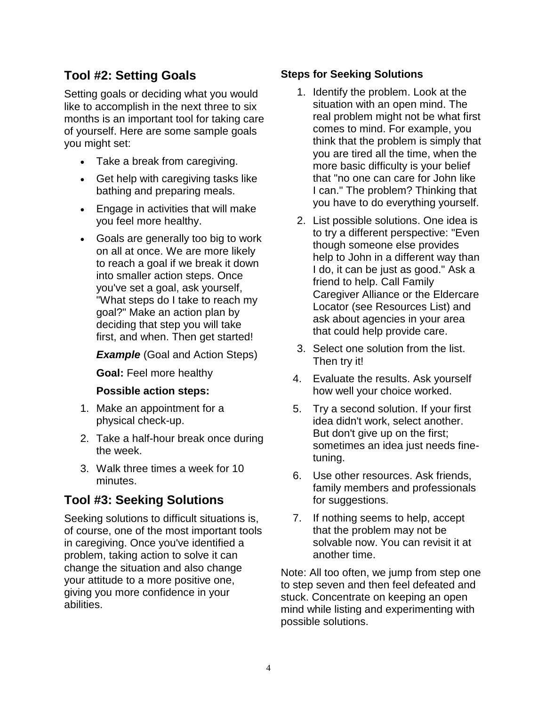# **Tool #2: Setting Goals**

Setting goals or deciding what you would like to accomplish in the next three to six months is an important tool for taking care of yourself. Here are some sample goals you might set:

- Take a break from caregiving.
- Get help with caregiving tasks like bathing and preparing meals.
- Engage in activities that will make you feel more healthy.
- Goals are generally too big to work on all at once. We are more likely to reach a goal if we break it down into smaller action steps. Once you've set a goal, ask yourself, "What steps do I take to reach my goal?" Make an action plan by deciding that step you will take first, and when. Then get started!

#### *Example* (Goal and Action Steps)

**Goal:** Feel more healthy

#### **Possible action steps:**

- 1. Make an appointment for a physical check-up.
- 2. Take a half-hour break once during the week.
- 3. Walk three times a week for 10 minutes.

#### **Tool #3: Seeking Solutions**

Seeking solutions to difficult situations is, of course, one of the most important tools in caregiving. Once you've identified a problem, taking action to solve it can change the situation and also change your attitude to a more positive one, giving you more confidence in your abilities.

#### **Steps for Seeking Solutions**

- 1. Identify the problem. Look at the situation with an open mind. The real problem might not be what first comes to mind. For example, you think that the problem is simply that you are tired all the time, when the more basic difficulty is your belief that "no one can care for John like I can." The problem? Thinking that you have to do everything yourself.
- 2. List possible solutions. One idea is to try a different perspective: "Even though someone else provides help to John in a different way than I do, it can be just as good." Ask a friend to help. Call Family Caregiver Alliance or the Eldercare Locator (see Resources List) and ask about agencies in your area that could help provide care.
- 3. Select one solution from the list. Then try it!
- 4. Evaluate the results. Ask yourself how well your choice worked.
- 5. Try a second solution. If your first idea didn't work, select another. But don't give up on the first; sometimes an idea just needs finetuning.
- 6. Use other resources. Ask friends, family members and professionals for suggestions.
- 7. If nothing seems to help, accept that the problem may not be solvable now. You can revisit it at another time.

Note: All too often, we jump from step one to step seven and then feel defeated and stuck. Concentrate on keeping an open mind while listing and experimenting with possible solutions.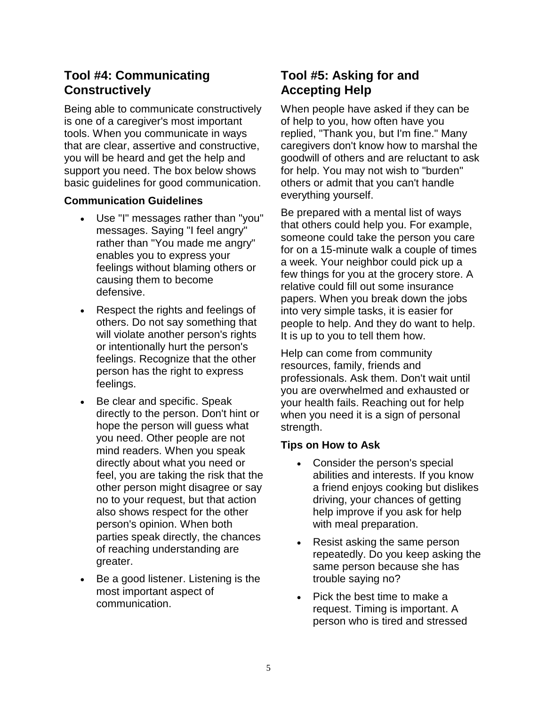# **Tool #4: Communicating Constructively**

Being able to communicate constructively is one of a caregiver's most important tools. When you communicate in ways that are clear, assertive and constructive, you will be heard and get the help and support you need. The box below shows basic guidelines for good communication.

#### **Communication Guidelines**

- Use "I" messages rather than "you" messages. Saying "I feel angry" rather than "You made me angry" enables you to express your feelings without blaming others or causing them to become defensive.
- Respect the rights and feelings of others. Do not say something that will violate another person's rights or intentionally hurt the person's feelings. Recognize that the other person has the right to express feelings.
- Be clear and specific. Speak directly to the person. Don't hint or hope the person will guess what you need. Other people are not mind readers. When you speak directly about what you need or feel, you are taking the risk that the other person might disagree or say no to your request, but that action also shows respect for the other person's opinion. When both parties speak directly, the chances of reaching understanding are greater.
- Be a good listener. Listening is the most important aspect of communication.

## **Tool #5: Asking for and Accepting Help**

When people have asked if they can be of help to you, how often have you replied, "Thank you, but I'm fine." Many caregivers don't know how to marshal the goodwill of others and are reluctant to ask for help. You may not wish to "burden" others or admit that you can't handle everything yourself.

Be prepared with a mental list of ways that others could help you. For example, someone could take the person you care for on a 15-minute walk a couple of times a week. Your neighbor could pick up a few things for you at the grocery store. A relative could fill out some insurance papers. When you break down the jobs into very simple tasks, it is easier for people to help. And they do want to help. It is up to you to tell them how.

Help can come from community resources, family, friends and professionals. Ask them. Don't wait until you are overwhelmed and exhausted or your health fails. Reaching out for help when you need it is a sign of personal strength.

#### **Tips on How to Ask**

- Consider the person's special abilities and interests. If you know a friend enjoys cooking but dislikes driving, your chances of getting help improve if you ask for help with meal preparation.
- Resist asking the same person repeatedly. Do you keep asking the same person because she has trouble saying no?
- Pick the best time to make a request. Timing is important. A person who is tired and stressed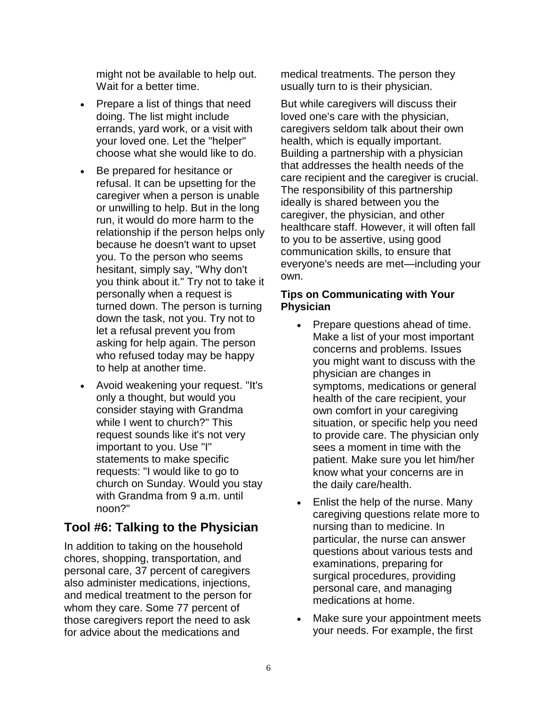might not be available to help out. Wait for a better time.

- Prepare a list of things that need doing. The list might include errands, yard work, or a visit with your loved one. Let the "helper" choose what she would like to do.
- Be prepared for hesitance or refusal. It can be upsetting for the caregiver when a person is unable or unwilling to help. But in the long run, it would do more harm to the relationship if the person helps only because he doesn't want to upset you. To the person who seems hesitant, simply say, "Why don't you think about it." Try not to take it personally when a request is turned down. The person is turning down the task, not you. Try not to let a refusal prevent you from asking for help again. The person who refused today may be happy to help at another time.
- Avoid weakening your request. "It's only a thought, but would you consider staying with Grandma while I went to church?" This request sounds like it's not very important to you. Use "I" statements to make specific requests: "I would like to go to church on Sunday. Would you stay with Grandma from 9 a.m. until noon?"

## **Tool #6: Talking to the Physician**

In addition to taking on the household chores, shopping, transportation, and personal care, 37 percent of caregivers also administer medications, injections, and medical treatment to the person for whom they care. Some 77 percent of those caregivers report the need to ask for advice about the medications and

medical treatments. The person they usually turn to is their physician.

But while caregivers will discuss their loved one's care with the physician, caregivers seldom talk about their own health, which is equally important. Building a partnership with a physician that addresses the health needs of the care recipient and the caregiver is crucial. The responsibility of this partnership ideally is shared between you the caregiver, the physician, and other healthcare staff. However, it will often fall to you to be assertive, using good communication skills, to ensure that everyone's needs are met—including your own.

#### **Tips on Communicating with Your Physician**

- Prepare questions ahead of time. Make a list of your most important concerns and problems. Issues you might want to discuss with the physician are changes in symptoms, medications or general health of the care recipient, your own comfort in your caregiving situation, or specific help you need to provide care. The physician only sees a moment in time with the patient. Make sure you let him/her know what your concerns are in the daily care/health.
- Enlist the help of the nurse. Many caregiving questions relate more to nursing than to medicine. In particular, the nurse can answer questions about various tests and examinations, preparing for surgical procedures, providing personal care, and managing medications at home.
- Make sure your appointment meets your needs. For example, the first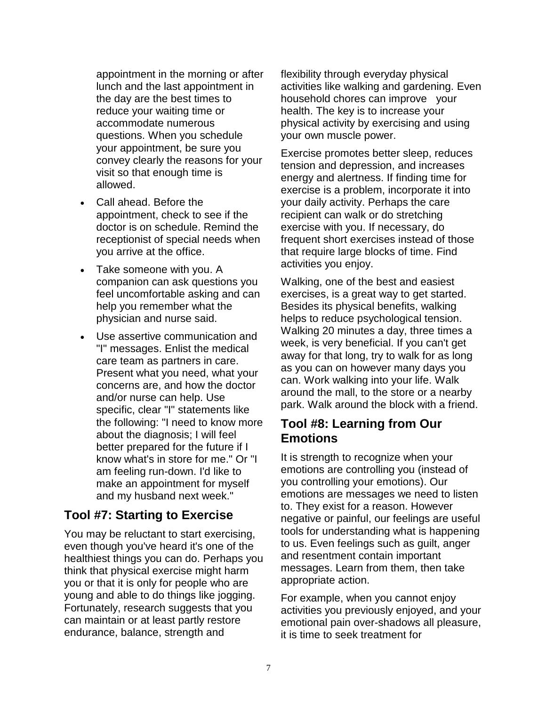appointment in the morning or after lunch and the last appointment in the day are the best times to reduce your waiting time or accommodate numerous questions. When you schedule your appointment, be sure you convey clearly the reasons for your visit so that enough time is allowed.

- Call ahead. Before the appointment, check to see if the doctor is on schedule. Remind the receptionist of special needs when you arrive at the office.
- Take someone with you. A companion can ask questions you feel uncomfortable asking and can help you remember what the physician and nurse said.
- Use assertive communication and "I" messages. Enlist the medical care team as partners in care. Present what you need, what your concerns are, and how the doctor and/or nurse can help. Use specific, clear "I" statements like the following: "I need to know more about the diagnosis; I will feel better prepared for the future if I know what's in store for me." Or "I am feeling run-down. I'd like to make an appointment for myself and my husband next week."

# **Tool #7: Starting to Exercise**

You may be reluctant to start exercising, even though you've heard it's one of the healthiest things you can do. Perhaps you think that physical exercise might harm you or that it is only for people who are young and able to do things like jogging. Fortunately, research suggests that you can maintain or at least partly restore endurance, balance, strength and

flexibility through everyday physical activities like walking and gardening. Even household chores can improve your health. The key is to increase your physical activity by exercising and using your own muscle power.

Exercise promotes better sleep, reduces tension and depression, and increases energy and alertness. If finding time for exercise is a problem, incorporate it into your daily activity. Perhaps the care recipient can walk or do stretching exercise with you. If necessary, do frequent short exercises instead of those that require large blocks of time. Find activities you enjoy.

Walking, one of the best and easiest exercises, is a great way to get started. Besides its physical benefits, walking helps to reduce psychological tension. Walking 20 minutes a day, three times a week, is very beneficial. If you can't get away for that long, try to walk for as long as you can on however many days you can. Work walking into your life. Walk around the mall, to the store or a nearby park. Walk around the block with a friend.

## **Tool #8: Learning from Our Emotions**

It is strength to recognize when your emotions are controlling you (instead of you controlling your emotions). Our emotions are messages we need to listen to. They exist for a reason. However negative or painful, our feelings are useful tools for understanding what is happening to us. Even feelings such as guilt, anger and resentment contain important messages. Learn from them, then take appropriate action.

For example, when you cannot enjoy activities you previously enjoyed, and your emotional pain over-shadows all pleasure, it is time to seek treatment for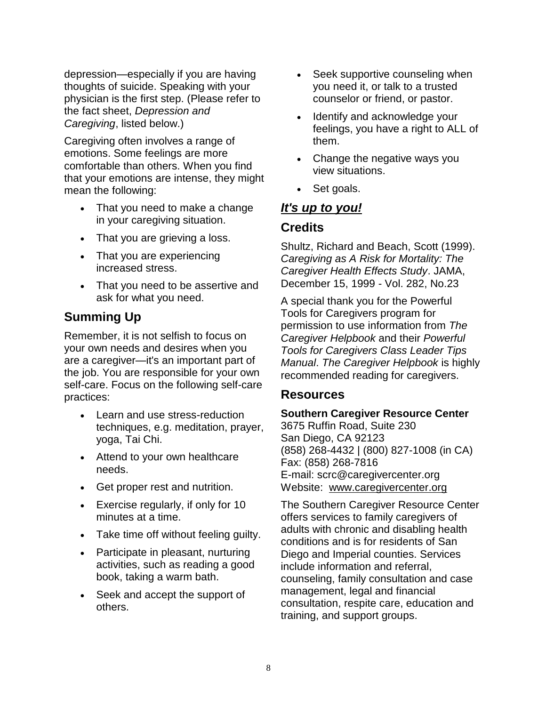depression—especially if you are having thoughts of suicide. Speaking with your physician is the first step. (Please refer to the fact sheet, *Depression and Caregiving*, listed below.)

Caregiving often involves a range of emotions. Some feelings are more comfortable than others. When you find that your emotions are intense, they might mean the following:

- That you need to make a change in your caregiving situation.
- That you are grieving a loss.
- That you are experiencing increased stress.
- That you need to be assertive and ask for what you need.

## **Summing Up**

Remember, it is not selfish to focus on your own needs and desires when you are a caregiver—it's an important part of the job. You are responsible for your own self-care. Focus on the following self-care practices:

- Learn and use stress-reduction techniques, e.g. meditation, prayer, yoga, Tai Chi.
- Attend to your own healthcare needs.
- Get proper rest and nutrition.
- Exercise regularly, if only for 10 minutes at a time.
- Take time off without feeling guilty.
- Participate in pleasant, nurturing activities, such as reading a good book, taking a warm bath.
- Seek and accept the support of others.
- Seek supportive counseling when you need it, or talk to a trusted counselor or friend, or pastor.
- Identify and acknowledge your feelings, you have a right to ALL of them.
- Change the negative ways you view situations.
- Set goals.

## *It's up to you!*

## **Credits**

Shultz, Richard and Beach, Scott (1999). *Caregiving as A Risk for Mortality: The Caregiver Health Effects Study*. JAMA, December 15, 1999 - Vol. 282, No.23

A special thank you for the Powerful Tools for Caregivers program for permission to use information from *The Caregiver Helpbook* and their *Powerful Tools for Caregivers Class Leader Tips Manual*. *The Caregiver Helpbook* is highly recommended reading for caregivers.

#### **Resources**

#### **Southern Caregiver Resource Center**

3675 Ruffin Road, Suite 230 San Diego, CA 92123 (858) 268-4432 | (800) 827-1008 (in CA) Fax: (858) 268-7816 E-mail: scrc@caregivercenter.org Website: [www.caregivercenter.org](http://www.caregivercenter.org/)

The Southern Caregiver Resource Center offers services to family caregivers of adults with chronic and disabling health conditions and is for residents of San Diego and Imperial counties. Services include information and referral, counseling, family consultation and case management, legal and financial consultation, respite care, education and training, and support groups.